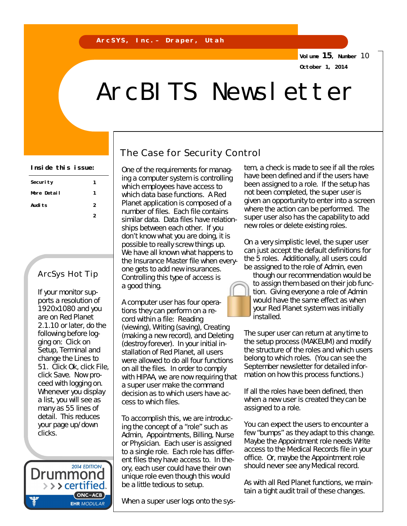**Volume 15, Number** 10 **October 1, 2014**

# ArcBITS Newsletter

| Securi ty   | 1 |
|-------------|---|
| More Detail | 1 |
| Audi ts     | 2 |
|             |   |

#### ArcSys Hot Tip

If your monitor supports a resolution of 1920x1080 and you are on Red Planet 2.1.10 or later, do the following before logging on: Click on Setup, Terminal and change the Lines to 51. Click Ok, click File, click Save. Now proceed with logging on. Whenever you display a list, you will see as many as 55 lines of detail. This reduces your page up/down clicks.

2014 EDITION Drummonc >>> certified.  $(ONC-ACB)$ **EHR MODULAR** 

### The Case for Security Control

One of the requirements for managing a computer system is controlling which employees have access to which data base functions. A Red Planet application is composed of a number of files. Each file contains similar data. Data files have relationships between each other. If you don't know what you are doing, it is possible to really screw things up. We have all known what happens to the Insurance Master file when everyone gets to add new insurances. Controlling this type of access is a good thing.

A computer user has four operations they can perform on a record within a file: Reading (viewing), Writing (saving), Creating (making a new record), and Deleting (destroy forever). In your initial installation of Red Planet, all users were allowed to do all four functions on all the files. In order to comply with HIPAA, we are now requiring that a super user make the command decision as to which users have access to which files.

To accomplish this, we are introducing the concept of a "role" such as Admin, Appointments, Billing, Nurse or Physician. Each user is assigned to a single role. Each role has different files they have access to. In theory, each user could have their own unique role even though this would be a little tedious to setup.

When a super user logs onto the sys-

Inside this issue:  $\begin{vmatrix} 0 & 0 & \text{if } b \\ 0 & 0 & \text{if } b \end{vmatrix}$  for manage tem, a check is made to see if all the roles have been defined and if the users have been assigned to a role. If the setup has not been completed, the super user is given an opportunity to enter into a screen where the action can be performed. The super user also has the capability to add new roles or delete existing roles.

> On a very simplistic level, the super user can just accept the default definitions for the 5 roles. Additionally, all users *could*  be assigned to the role of Admin, even



though our recommendation would be to assign them based on their job function. Giving everyone a role of Admin would have the same effect as when your Red Planet system was initially installed.

The super user can return at any time to the setup process (MAKEUM) and modify the structure of the roles and which users belong to which roles. (You can see the September newsletter for detailed information on how this process functions.)

If all the roles have been defined, then when a new user is created they can be assigned to a role.

You can expect the users to encounter a few "bumps" as they adapt to this change. Maybe the Appointment role needs Write access to the Medical Records file in your office. Or, maybe the Appointment role should never see any Medical record.

As with all Red Planet functions, we maintain a tight audit trail of these changes.